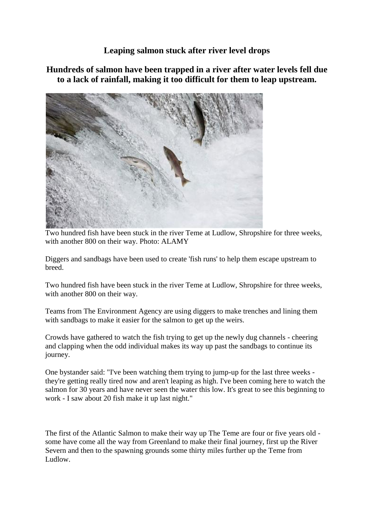## **Leaping salmon stuck after river level drops**

## **Hundreds of salmon have been trapped in a river after water levels fell due to a lack of rainfall, making it too difficult for them to leap upstream.**



Two hundred fish have been stuck in the river Teme at Ludlow, Shropshire for three weeks, with another 800 on their way. Photo: ALAMY

Diggers and sandbags have been used to create 'fish runs' to help them escape upstream to breed.

Two hundred fish have been stuck in the river Teme at Ludlow, Shropshire for three weeks, with another 800 on their way.

Teams from The Environment Agency are using diggers to make trenches and lining them with sandbags to make it easier for the salmon to get up the weirs.

Crowds have gathered to watch the fish trying to get up the newly dug channels - cheering and clapping when the odd individual makes its way up past the sandbags to continue its journey.

One bystander said: "I've been watching them trying to jump-up for the last three weeks they're getting really tired now and aren't leaping as high. I've been coming here to watch the salmon for 30 years and have never seen the water this low. It's great to see this beginning to work - I saw about 20 fish make it up last night."

The first of the Atlantic Salmon to make their way up The Teme are four or five years old some have come all the way from Greenland to make their final journey, first up the River Severn and then to the spawning grounds some thirty miles further up the Teme from Ludlow.